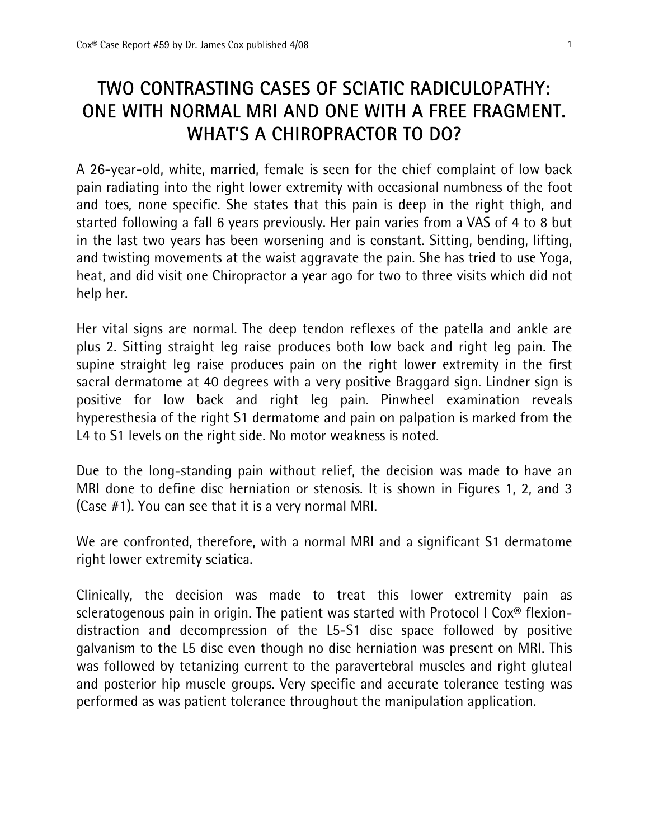## TWO CONTRASTING CASES OF SCIATIC RADICULOPATHY: ONE WITH NORMAL MRI AND ONE WITH A FREE FRAGMENT. WHAT'S A CHIROPRACTOR TO DO?

A 26-year-old, white, married, female is seen for the chief complaint of low back pain radiating into the right lower extremity with occasional numbness of the foot and toes, none specific. She states that this pain is deep in the right thigh, and started following a fall 6 years previously. Her pain varies from a VAS of 4 to 8 but in the last two years has been worsening and is constant. Sitting, bending, lifting, and twisting movements at the waist aggravate the pain. She has tried to use Yoga, heat, and did visit one Chiropractor a year ago for two to three visits which did not help her.

Her vital signs are normal. The deep tendon reflexes of the patella and ankle are plus 2. Sitting straight leg raise produces both low back and right leg pain. The supine straight leg raise produces pain on the right lower extremity in the first sacral dermatome at 40 degrees with a very positive Braggard sign. Lindner sign is positive for low back and right leg pain. Pinwheel examination reveals hyperesthesia of the right S1 dermatome and pain on palpation is marked from the L4 to S1 levels on the right side. No motor weakness is noted.

Due to the long-standing pain without relief, the decision was made to have an MRI done to define disc herniation or stenosis. It is shown in Figures 1, 2, and 3 (Case #1). You can see that it is a very normal MRI.

We are confronted, therefore, with a normal MRI and a significant S1 dermatome right lower extremity sciatica.

Clinically, the decision was made to treat this lower extremity pain as scleratogenous pain in origin. The patient was started with Protocol I Cox<sup>®</sup> flexiondistraction and decompression of the L5-S1 disc space followed by positive galvanism to the L5 disc even though no disc herniation was present on MRI. This was followed by tetanizing current to the paravertebral muscles and right gluteal and posterior hip muscle groups. Very specific and accurate tolerance testing was performed as was patient tolerance throughout the manipulation application.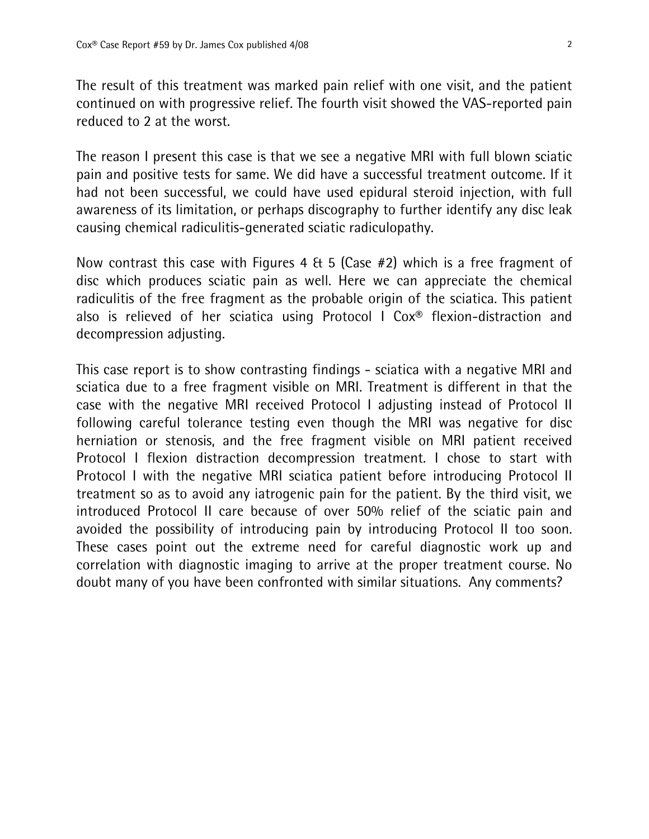The result of this treatment was marked pain relief with one visit, and the patient continued on with progressive relief. The fourth visit showed the VAS-reported pain reduced to 2 at the worst.

The reason I present this case is that we see a negative MRI with full blown sciatic pain and positive tests for same. We did have a successful treatment outcome. If it had not been successful, we could have used epidural steroid injection, with full awareness of its limitation, or perhaps discography to further identify any disc leak causing chemical radiculitis-generated sciatic radiculopathy.

Now contrast this case with Figures 4 & 5 (Case #2) which is a free fragment of disc which produces sciatic pain as well. Here we can appreciate the chemical radiculitis of the free fragment as the probable origin of the sciatica. This patient also is relieved of her sciatica using Protocol I Cox® flexion-distraction and decompression adjusting.

This case report is to show contrasting findings - sciatica with a negative MRI and sciatica due to a free fragment visible on MRI. Treatment is different in that the case with the negative MRI received Protocol I adjusting instead of Protocol II following careful tolerance testing even though the MRI was negative for disc herniation or stenosis, and the free fragment visible on MRI patient received Protocol I flexion distraction decompression treatment. I chose to start with Protocol I with the negative MRI sciatica patient before introducing Protocol II treatment so as to avoid any iatrogenic pain for the patient. By the third visit, we introduced Protocol II care because of over 50% relief of the sciatic pain and avoided the possibility of introducing pain by introducing Protocol II too soon. These cases point out the extreme need for careful diagnostic work up and correlation with diagnostic imaging to arrive at the proper treatment course. No doubt many of you have been confronted with similar situations. Any comments?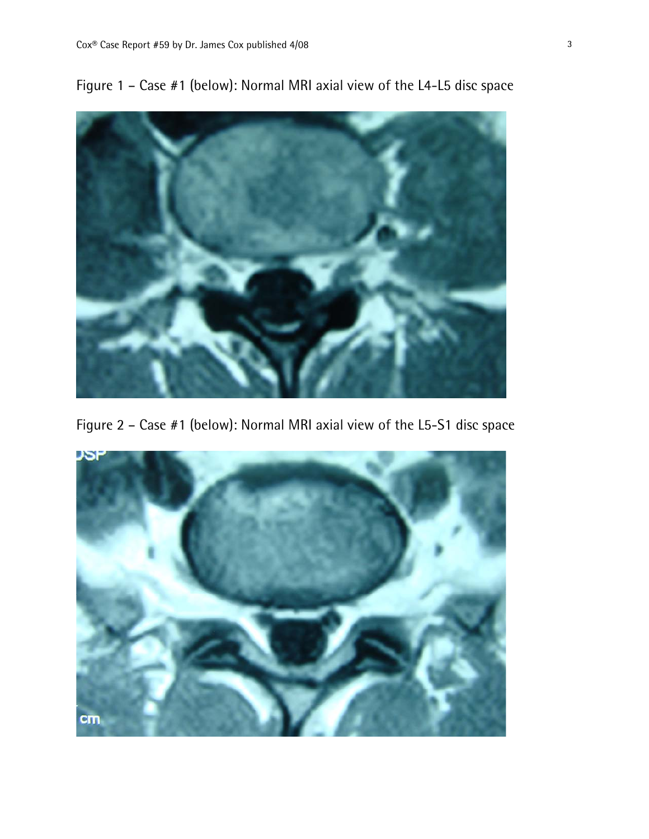

Figure 1 – Case #1 (below): Normal MRI axial view of the L4-L5 disc space

Figure 2 – Case #1 (below): Normal MRI axial view of the L5-S1 disc space

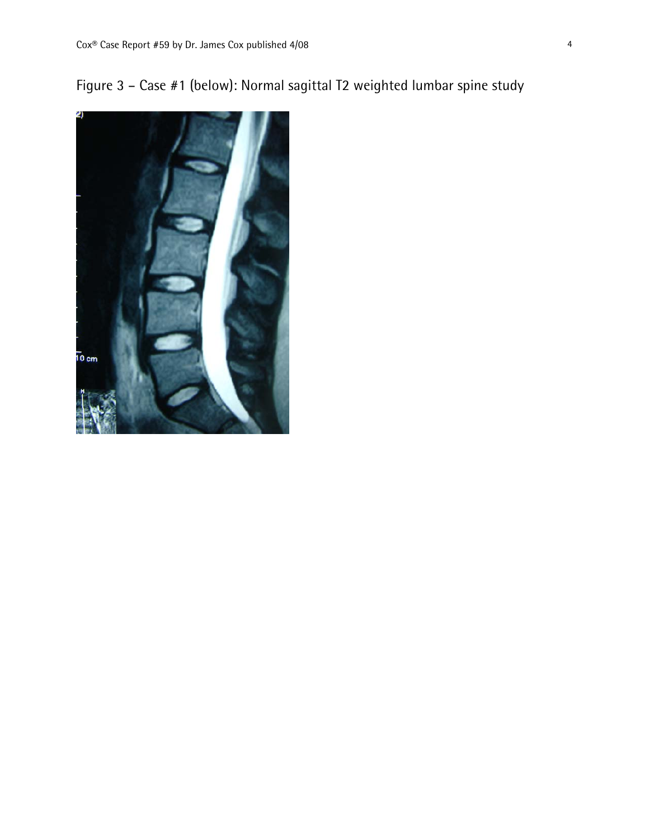

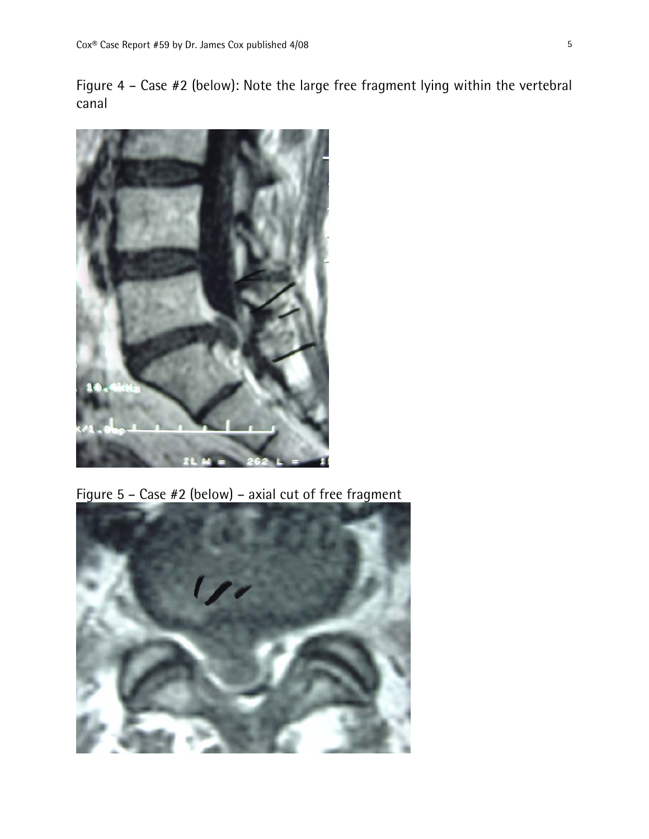Figure 4 – Case #2 (below): Note the large free fragment lying within the vertebral canal



Figure 5 – Case #2 (below) – axial cut of free fragment